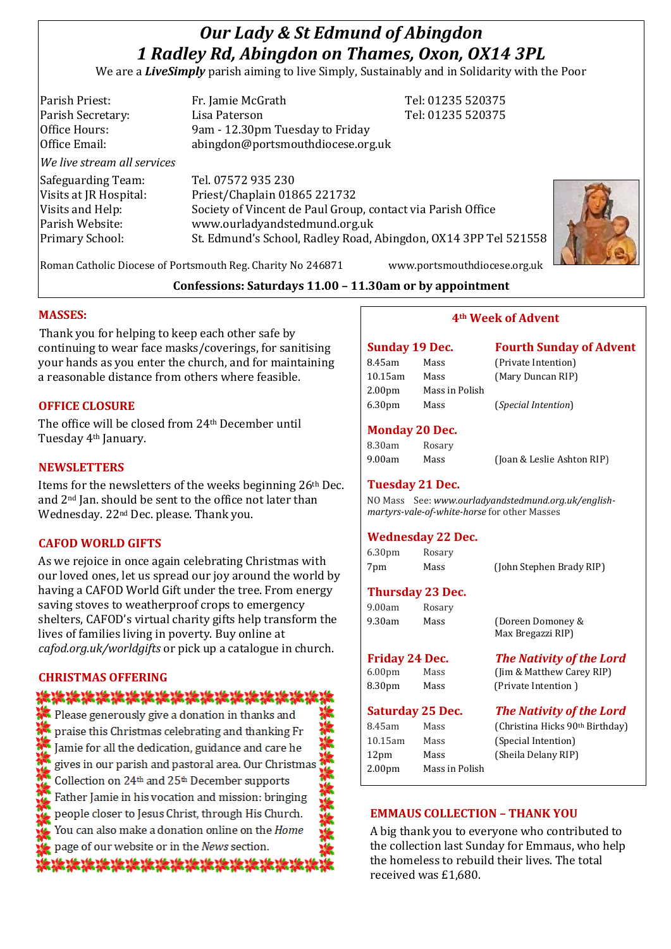# *Our Lady & St Edmund of Abingdon 1 Radley Rd, Abingdon on Thames, Oxon, OX14 3PL*

We are a *LiveSimply* parish aiming to live Simply, Sustainably and in Solidarity with the Poor

| Parish Priest:              | Fr. Jamie McGrath                                               | Tel: 01235 520375 |
|-----------------------------|-----------------------------------------------------------------|-------------------|
| Parish Secretary:           | Lisa Paterson                                                   | Tel: 01235 520375 |
| Office Hours:               | 9am - 12.30pm Tuesday to Friday                                 |                   |
| Office Email:               | abingdon@portsmouthdiocese.org.uk                               |                   |
| We live stream all services |                                                                 |                   |
| Safeguarding Team:          | Tel. 07572 935 230                                              |                   |
| Visits at JR Hospital:      | Priest/Chaplain 01865 221732                                    |                   |
| Visits and Help:            | Society of Vincent de Paul Group, contact via Parish Office     |                   |
| Parish Website:             | www.ourladyandstedmund.org.uk                                   |                   |
| Primary School:             | St. Edmund's School, Radley Road, Abingdon, OX14 3PP Tel 521558 |                   |
|                             |                                                                 |                   |
|                             |                                                                 |                   |



Roman Catholic Diocese of Portsmouth Reg. Charity No 246871 www.portsmouthdiocese.org.uk

# **Confessions: Saturdays 11.00 – 11.30am or by appointment**

# **MASSES:**

Thank you for helping to keep each other safe by continuing to wear face masks/coverings, for sanitising your hands as you enter the church, and for maintaining a reasonable distance from others where feasible.

# **OFFICE CLOSURE**

The office will be closed from 24th December until Tuesday 4th January.

# **NEWSLETTERS**

Items for the newsletters of the weeks beginning 26th Dec. and 2nd Jan. should be sent to the office not later than Wednesday. 22nd Dec. please. Thank you.

### **CAFOD WORLD GIFTS**

As we rejoice in once again celebrating Christmas with our loved ones, let us spread our joy around the world by having a CAFOD World Gift under the tree. From energy saving stoves to weatherproof crops to emergency shelters, CAFOD's virtual charity gifts help transform the lives of families living in poverty. Buy online at *cafod.org.uk/worldgifts* or pick up a catalogue in church.

# **CHRISTMAS OFFERING**

# \*\*\*\*\*\*\*\*\*\*\*\*\*\*\*\*\*

 $\blacksquare$  Please generously give a donation in thanks and praise this Christmas celebrating and thanking Fr Jamie for all the dedication, guidance and care he gives in our parish and pastoral area. Our Christmas Collection on 24th and 25th December supports Father Jamie in his vocation and mission: bringing people closer to Jesus Christ, through His Church. You can also make a donation online on the Home page of our website or in the News section. \*\*\*\*\*\*\*\*\*\*\*\*\*\*\*

### **4th Week of Advent**

| <b>Sunday 19 Dec.</b> |                | <b>Fourth Sunday of Advent</b> |
|-----------------------|----------------|--------------------------------|
| 8.45am                | Mass           | (Private Intention)            |
| 10.15am               | Mass           | (Mary Duncan RIP)              |
| 2.00 <sub>pm</sub>    | Mass in Polish |                                |
| 6.30pm                | Mass           | <i>(Special Intention)</i>     |

#### **Monday 20 Dec.**

| 8.30am | Rosary |
|--------|--------|
| 9.00am | Mass   |

9.00am Mass (Joan & Leslie Ashton RIP)

### **Tuesday 21 Dec.**

NO Mass See: *www.ourladyandstedmund.org.uk/englishmartyrs-vale-of-white-horse* for other Masses

### **Wednesday 22 Dec.**

6.30pm Rosary 7pm Mass (John Stephen Brady RIP)

# **Thursday 23 Dec.**

| 9.00am | Rosary |                   |
|--------|--------|-------------------|
| 9.30am | Mass   | (Doreen Domoney & |
|        |        | Max Bregazzi RIP) |

|        | Friday 24 Dec. |
|--------|----------------|
| 6.00pm | Mass           |
| ດ າດ…… | <b>Maaa</b>    |

8.30pm Mass (Private Intention )

**Saturday 25 Dec.** *The Nativity of the Lord*

*The Nativity of the Lord* (Jim & Matthew Carey RIP)

Bregazzi RIP)

| 8.45am             | Mass           | (Christina Hicks 90 <sup>th</sup> Birthday) |
|--------------------|----------------|---------------------------------------------|
| 10.15am            | Mass           | (Special Intention)                         |
| 12pm               | Mass           | (Sheila Delany RIP)                         |
| 2.00 <sub>pm</sub> | Mass in Polish |                                             |
|                    |                |                                             |

### **EMMAUS COLLECTION – THANK YOU**

A big thank you to everyone who contributed to the collection last Sunday for Emmaus, who help the homeless to rebuild their lives. The total received was £1,680.